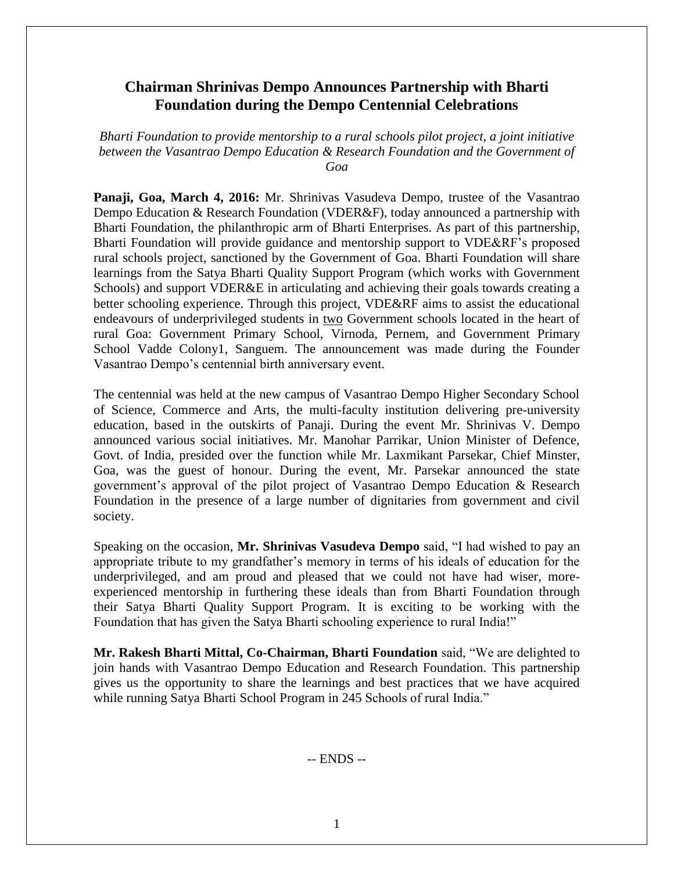# **Chairman Shrinivas Dempo Announces Partnership with Bharti Foundation during the Dempo Centennial Celebrations**

*Bharti Foundation to provide mentorship to a rural schools pilot project, a joint initiative between the Vasantrao Dempo Education & Research Foundation and the Government of Goa*

**Panaji, Goa, March 4, 2016:** Mr. Shrinivas Vasudeva Dempo, trustee of the Vasantrao Dempo Education & Research Foundation (VDER&F), today announced a partnership with Bharti Foundation, the philanthropic arm of Bharti Enterprises. As part of this partnership, Bharti Foundation will provide guidance and mentorship support to VDE&RF's proposed rural schools project, sanctioned by the Government of Goa. Bharti Foundation will share learnings from the Satya Bharti Quality Support Program (which works with Government Schools) and support VDER&E in articulating and achieving their goals towards creating a better schooling experience. Through this project, VDE&RF aims to assist the educational endeavours of underprivileged students in two Government schools located in the heart of rural Goa: Government Primary School, Virnoda, Pernem, and Government Primary School Vadde Colony1, Sanguem. The announcement was made during the Founder Vasantrao Dempo's centennial birth anniversary event.

The centennial was held at the new campus of Vasantrao Dempo Higher Secondary School of Science, Commerce and Arts, the multi-faculty institution delivering pre-university education, based in the outskirts of Panaji. During the event Mr. Shrinivas V. Dempo announced various social initiatives. Mr. Manohar Parrikar, Union Minister of Defence, Govt. of India, presided over the function while Mr. Laxmikant Parsekar, Chief Minster, Goa, was the guest of honour. During the event, Mr. Parsekar announced the state government's approval of the pilot project of Vasantrao Dempo Education & Research Foundation in the presence of a large number of dignitaries from government and civil society.

Speaking on the occasion, **Mr. Shrinivas Vasudeva Dempo** said, "I had wished to pay an appropriate tribute to my grandfather's memory in terms of his ideals of education for the underprivileged, and am proud and pleased that we could not have had wiser, moreexperienced mentorship in furthering these ideals than from Bharti Foundation through their Satya Bharti Quality Support Program. It is exciting to be working with the Foundation that has given the Satya Bharti schooling experience to rural India!"

**Mr. Rakesh Bharti Mittal, Co-Chairman, Bharti Foundation** said, "We are delighted to join hands with Vasantrao Dempo Education and Research Foundation. This partnership gives us the opportunity to share the learnings and best practices that we have acquired while running Satya Bharti School Program in 245 Schools of rural India."

-- ENDS --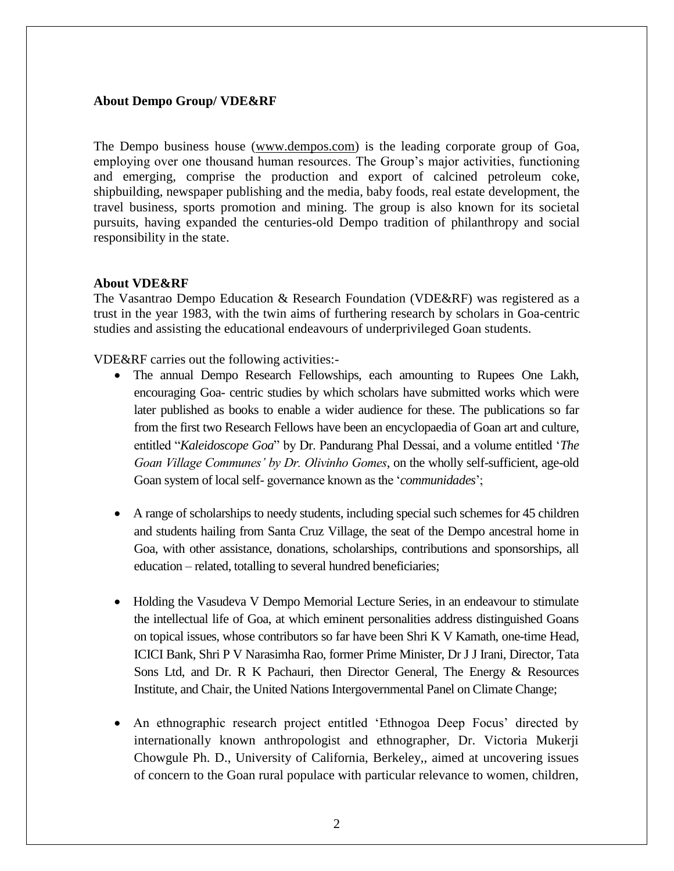## **About Dempo Group/ VDE&RF**

The Dempo business house [\(www.dempos.com\)](http://www.dempos.com/) is the leading corporate group of Goa, employing over one thousand human resources. The Group's major activities, functioning and emerging, comprise the production and export of calcined petroleum coke, shipbuilding, newspaper publishing and the media, baby foods, real estate development, the travel business, sports promotion and mining. The group is also known for its societal pursuits, having expanded the centuries-old Dempo tradition of philanthropy and social responsibility in the state.

## **About VDE&RF**

The Vasantrao Dempo Education & Research Foundation (VDE&RF) was registered as a trust in the year 1983, with the twin aims of furthering research by scholars in Goa-centric studies and assisting the educational endeavours of underprivileged Goan students.

VDE&RF carries out the following activities:-

- The annual Dempo Research Fellowships, each amounting to Rupees One Lakh, encouraging Goa- centric studies by which scholars have submitted works which were later published as books to enable a wider audience for these. The publications so far from the first two Research Fellows have been an encyclopaedia of Goan art and culture, entitled "*Kaleidoscope Goa*" by Dr. Pandurang Phal Dessai, and a volume entitled '*The Goan Village Communes' by Dr. Olivinho Gomes*, on the wholly self-sufficient, age-old Goan system of local self- governance known as the '*communidades*';
- A range of scholarships to needy students, including special such schemes for 45 children and students hailing from Santa Cruz Village, the seat of the Dempo ancestral home in Goa, with other assistance, donations, scholarships, contributions and sponsorships, all education – related, totalling to several hundred beneficiaries;
- Holding the Vasudeva V Dempo Memorial Lecture Series, in an endeavour to stimulate the intellectual life of Goa, at which eminent personalities address distinguished Goans on topical issues, whose contributors so far have been Shri K V Kamath, one-time Head, ICICI Bank, Shri P V Narasimha Rao, former Prime Minister, Dr J J Irani, Director, Tata Sons Ltd, and Dr. R K Pachauri, then Director General, The Energy & Resources Institute, and Chair, the United Nations Intergovernmental Panel on Climate Change;
- An ethnographic research project entitled 'Ethnogoa Deep Focus' directed by internationally known anthropologist and ethnographer, Dr. Victoria Mukerji Chowgule Ph. D., University of California, Berkeley,, aimed at uncovering issues of concern to the Goan rural populace with particular relevance to women, children,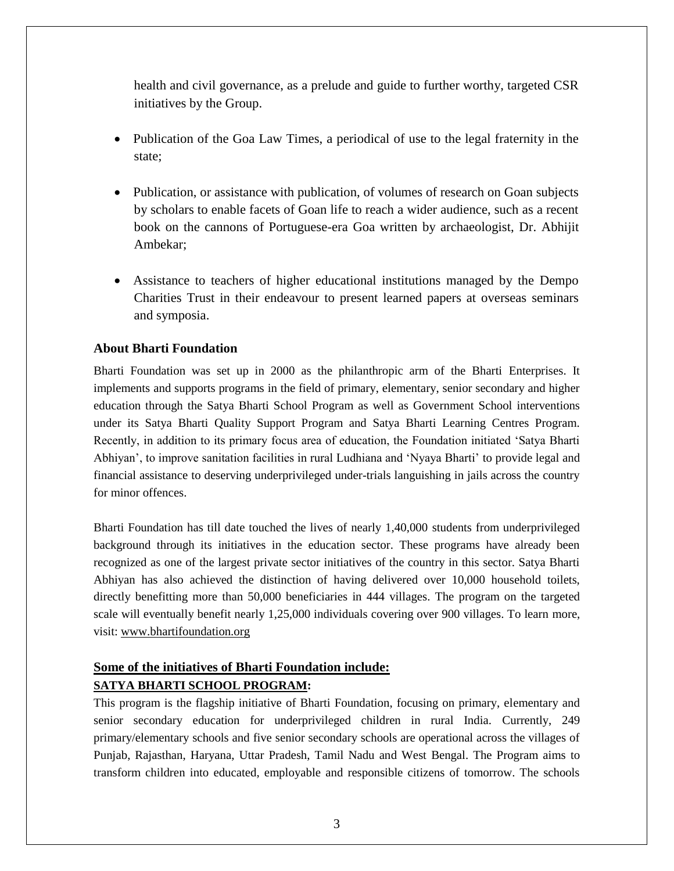health and civil governance, as a prelude and guide to further worthy, targeted CSR initiatives by the Group.

- Publication of the Goa Law Times, a periodical of use to the legal fraternity in the state;
- Publication, or assistance with publication, of volumes of research on Goan subjects by scholars to enable facets of Goan life to reach a wider audience, such as a recent book on the cannons of Portuguese-era Goa written by archaeologist, Dr. Abhijit Ambekar;
- Assistance to teachers of higher educational institutions managed by the Dempo Charities Trust in their endeavour to present learned papers at overseas seminars and symposia.

## **About Bharti Foundation**

Bharti Foundation was set up in 2000 as the philanthropic arm of the Bharti Enterprises. It implements and supports programs in the field of primary, elementary, senior secondary and higher education through the Satya Bharti School Program as well as Government School interventions under its Satya Bharti Quality Support Program and Satya Bharti Learning Centres Program. Recently, in addition to its primary focus area of education, the Foundation initiated 'Satya Bharti Abhiyan', to improve sanitation facilities in rural Ludhiana and 'Nyaya Bharti' to provide legal and financial assistance to deserving underprivileged under-trials languishing in jails across the country for minor offences.

Bharti Foundation has till date touched the lives of nearly 1,40,000 students from underprivileged background through its initiatives in the education sector. These programs have already been recognized as one of the largest private sector initiatives of the country in this sector. Satya Bharti Abhiyan has also achieved the distinction of having delivered over 10,000 household toilets, directly benefitting more than 50,000 beneficiaries in 444 villages. The program on the targeted scale will eventually benefit nearly 1,25,000 individuals covering over 900 villages. To learn more, visit: [www.bhartifoundation.org](http://www.bhartifoundation.org/)

# **Some of the initiatives of Bharti Foundation include: SATYA BHARTI SCHOOL PROGRAM:**

This program is the flagship initiative of Bharti Foundation, focusing on primary, elementary and senior secondary education for underprivileged children in rural India. Currently, 249 primary/elementary schools and five senior secondary schools are operational across the villages of Punjab, Rajasthan, Haryana, Uttar Pradesh, Tamil Nadu and West Bengal. The Program aims to transform children into educated, employable and responsible citizens of tomorrow. The schools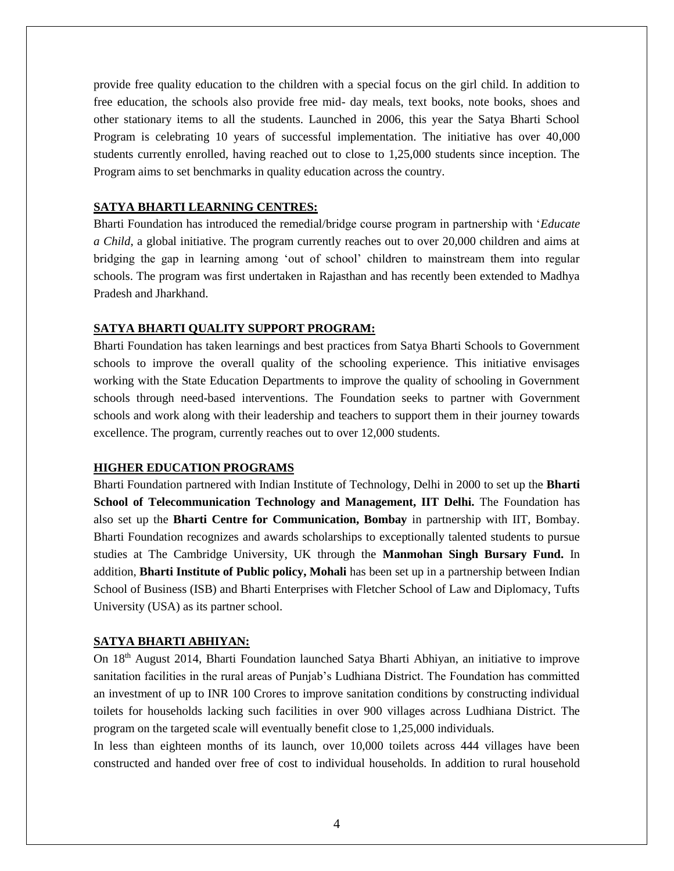provide free quality education to the children with a special focus on the girl child. In addition to free education, the schools also provide free mid- day meals, text books, note books, shoes and other stationary items to all the students. Launched in 2006, this year the Satya Bharti School Program is celebrating 10 years of successful implementation. The initiative has over 40,000 students currently enrolled, having reached out to close to 1,25,000 students since inception. The Program aims to set benchmarks in quality education across the country.

#### **SATYA BHARTI LEARNING CENTRES:**

Bharti Foundation has introduced the remedial/bridge course program in partnership with '*Educate a Child*, a global initiative. The program currently reaches out to over 20,000 children and aims at bridging the gap in learning among 'out of school' children to mainstream them into regular schools. The program was first undertaken in Rajasthan and has recently been extended to Madhya Pradesh and Jharkhand.

### **SATYA BHARTI QUALITY SUPPORT PROGRAM:**

Bharti Foundation has taken learnings and best practices from Satya Bharti Schools to Government schools to improve the overall quality of the schooling experience. This initiative envisages working with the State Education Departments to improve the quality of schooling in Government schools through need-based interventions. The Foundation seeks to partner with Government schools and work along with their leadership and teachers to support them in their journey towards excellence. The program, currently reaches out to over 12,000 students.

#### **HIGHER EDUCATION PROGRAMS**

Bharti Foundation partnered with Indian Institute of Technology, Delhi in 2000 to set up the **Bharti School of Telecommunication Technology and Management, IIT Delhi.** The Foundation has also set up the **Bharti Centre for Communication, Bombay** in partnership with IIT, Bombay. Bharti Foundation recognizes and awards scholarships to exceptionally talented students to pursue studies at The Cambridge University, UK through the **Manmohan Singh Bursary Fund.** In addition, **Bharti Institute of Public policy, Mohali** has been set up in a partnership between Indian School of Business (ISB) and Bharti Enterprises with Fletcher School of Law and Diplomacy, Tufts University (USA) as its partner school.

#### **SATYA BHARTI ABHIYAN:**

On 18<sup>th</sup> August 2014, Bharti Foundation launched Satya Bharti Abhiyan, an initiative to improve sanitation facilities in the rural areas of Punjab's Ludhiana District. The Foundation has committed an investment of up to INR 100 Crores to improve sanitation conditions by constructing individual toilets for households lacking such facilities in over 900 villages across Ludhiana District. The program on the targeted scale will eventually benefit close to 1,25,000 individuals.

In less than eighteen months of its launch, over 10,000 toilets across 444 villages have been constructed and handed over free of cost to individual households. In addition to rural household